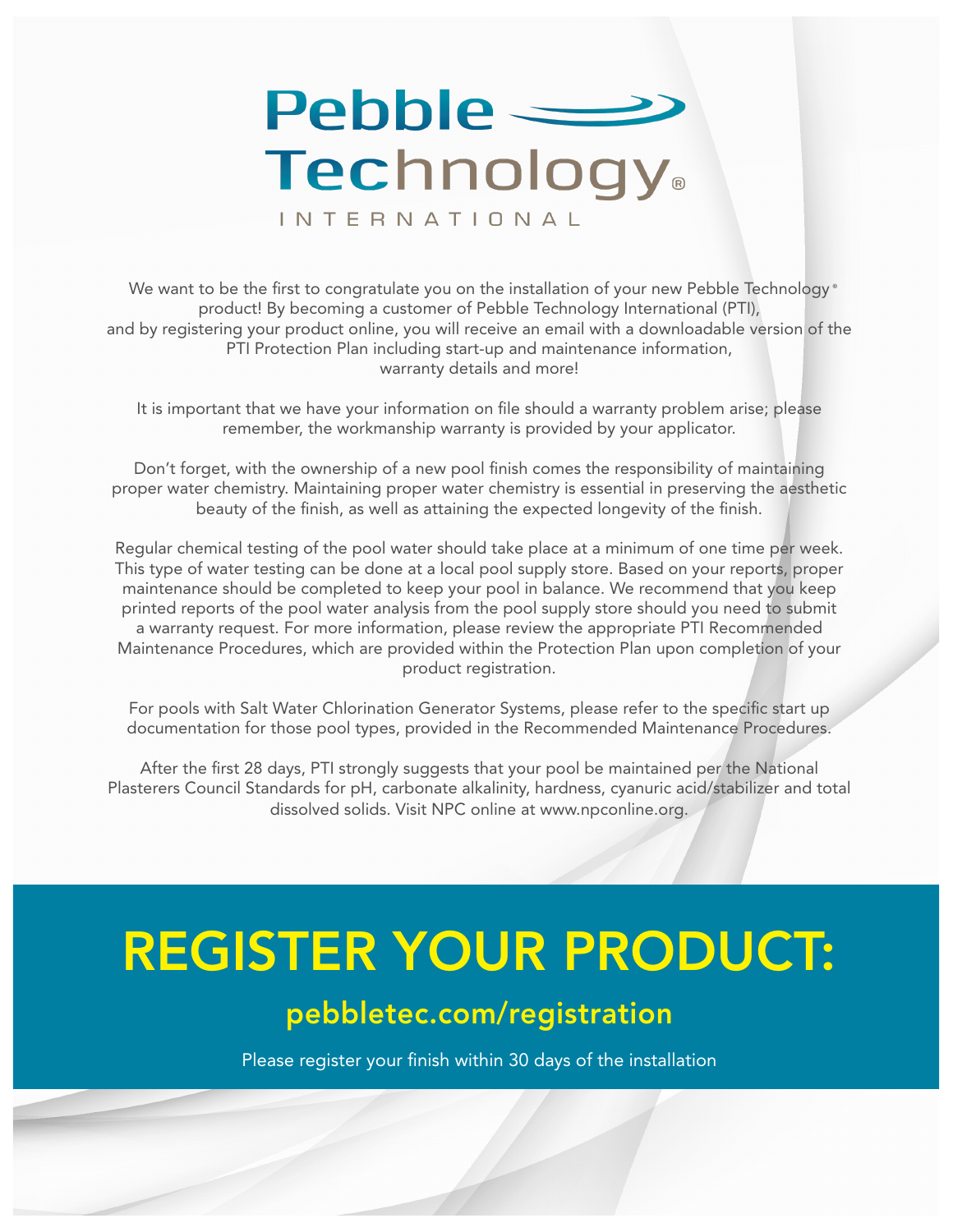## $Pebble =$ **Technology** INTERNATIONAL

We want to be the first to congratulate you on the installation of your new Pebble Technology  $^\circ$ product! By becoming a customer of Pebble Technology International (PTI), and by registering your product online, you will receive an email with a downloadable version of the PTI Protection Plan including start-up and maintenance information, warranty details and more!

It is important that we have your information on file should a warranty problem arise; please remember, the workmanship warranty is provided by your applicator.

Don't forget, with the ownership of a new pool finish comes the responsibility of maintaining proper water chemistry. Maintaining proper water chemistry is essential in preserving the aesthetic beauty of the finish, as well as attaining the expected longevity of the finish.

Regular chemical testing of the pool water should take place at a minimum of one time per week. This type of water testing can be done at a local pool supply store. Based on your reports, proper maintenance should be completed to keep your pool in balance. We recommend that you keep printed reports of the pool water analysis from the pool supply store should you need to submit a warranty request. For more information, please review the appropriate PTI Recommended Maintenance Procedures, which are provided within the Protection Plan upon completion of your product registration.

For pools with Salt Water Chlorination Generator Systems, please refer to the specific start up documentation for those pool types, provided in the Recommended Maintenance Procedures.

After the first 28 days, PTI strongly suggests that your pool be maintained per the National Plasterers Council Standards for pH, carbonate alkalinity, hardness, cyanuric acid/stabilizer and total dissolved solids. Visit NPC online at www.npconline.org.

# REGISTER YOUR PRODUCT:

## pebbletec.com/registration

Please register your finish within 30 days of the installation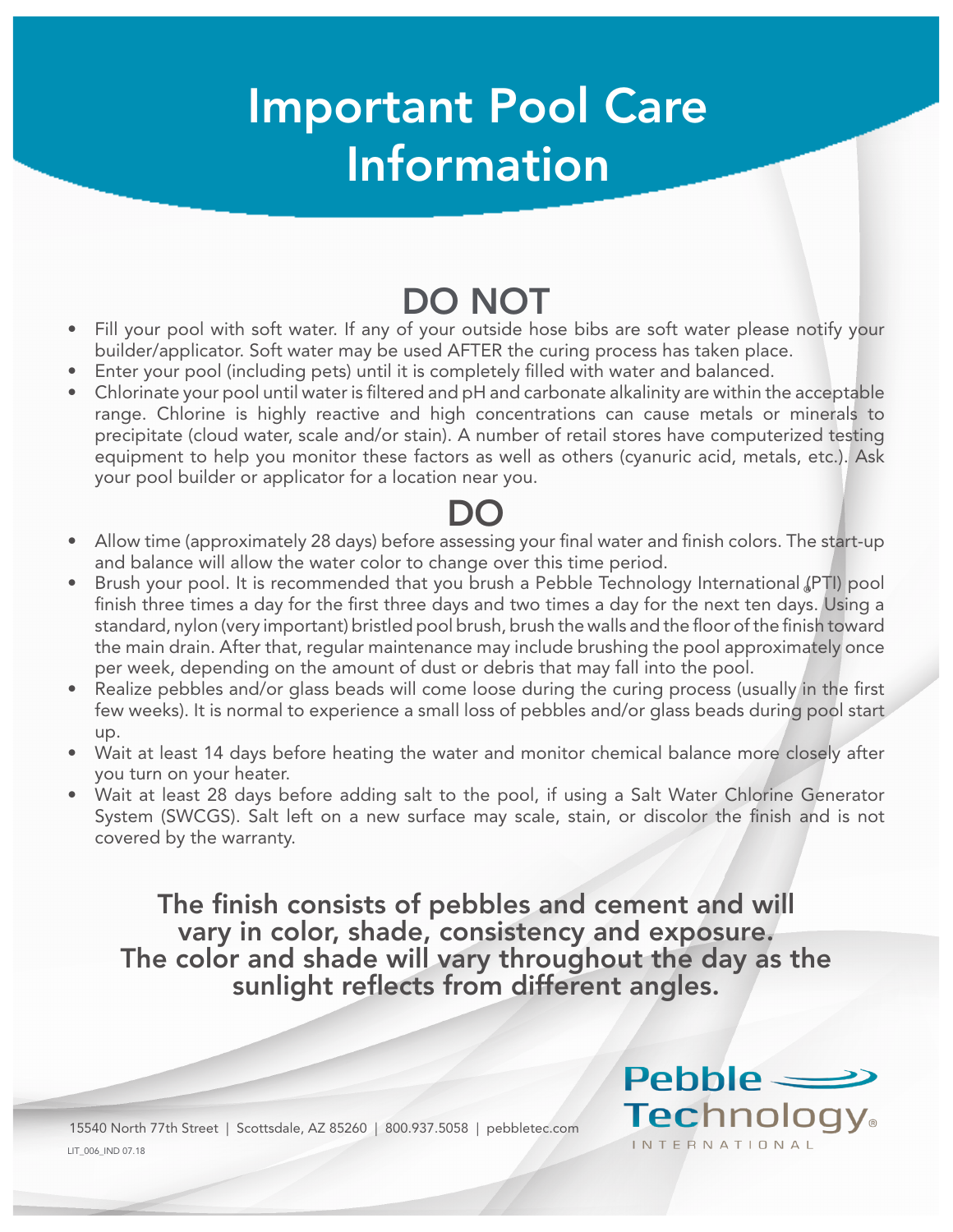## Important Pool Care Information

- Fill your pool with soft water. If any of your outside hose bibs are soft water please notify your builder/applicator. Soft water may be used AFTER the curing process has taken place.
- Enter your pool (including pets) until it is completely filled with water and balanced.
- Chlorinate your pool until water is filtered and pH and carbonate alkalinity are within the acceptable range. Chlorine is highly reactive and high concentrations can cause metals or minerals to precipitate (cloud water, scale and/or stain). A number of retail stores have computerized testing equipment to help you monitor these factors as well as others (cyanuric acid, metals, etc.). Ask your pool builder or applicator for a location near you.

- Allow time (approximately 28 days) before assessing your final water and finish colors. The start-up and balance will allow the water color to change over this time period.
- Brush your pool. It is recommended that you brush a Pebble Technology International (PTI) pool finish three times a day for the first three days and two times a day for the next ten days. Using a ® standard, nylon (very important) bristled pool brush, brush the walls and the floor of the finish toward the main drain. After that, regular maintenance may include brushing the pool approximately once per week, depending on the amount of dust or debris that may fall into the pool.
- Realize pebbles and/or glass beads will come loose during the curing process (usually in the first few weeks). It is normal to experience a small loss of pebbles and/or glass beads during pool start up.
- Wait at least 14 days before heating the water and monitor chemical balance more closely after you turn on your heater.
- Wait at least 28 days before adding salt to the pool, if using a Salt Water Chlorine Generator System (SWCGS). Salt left on a new surface may scale, stain, or discolor the finish and is not covered by the warranty.

The finish consists of pebbles and cement and will vary in color, shade, consistency and exposure. The color and shade will vary throughout the day as the sunlight reflects from different angles.

 $Pehhle =$ 

INTERNATIONAL

**Technology** 

LIT\_006\_IND 07.18 15540 North 77th Street | Scottsdale, AZ 85260 | 800.937.5058 | pebbletec.com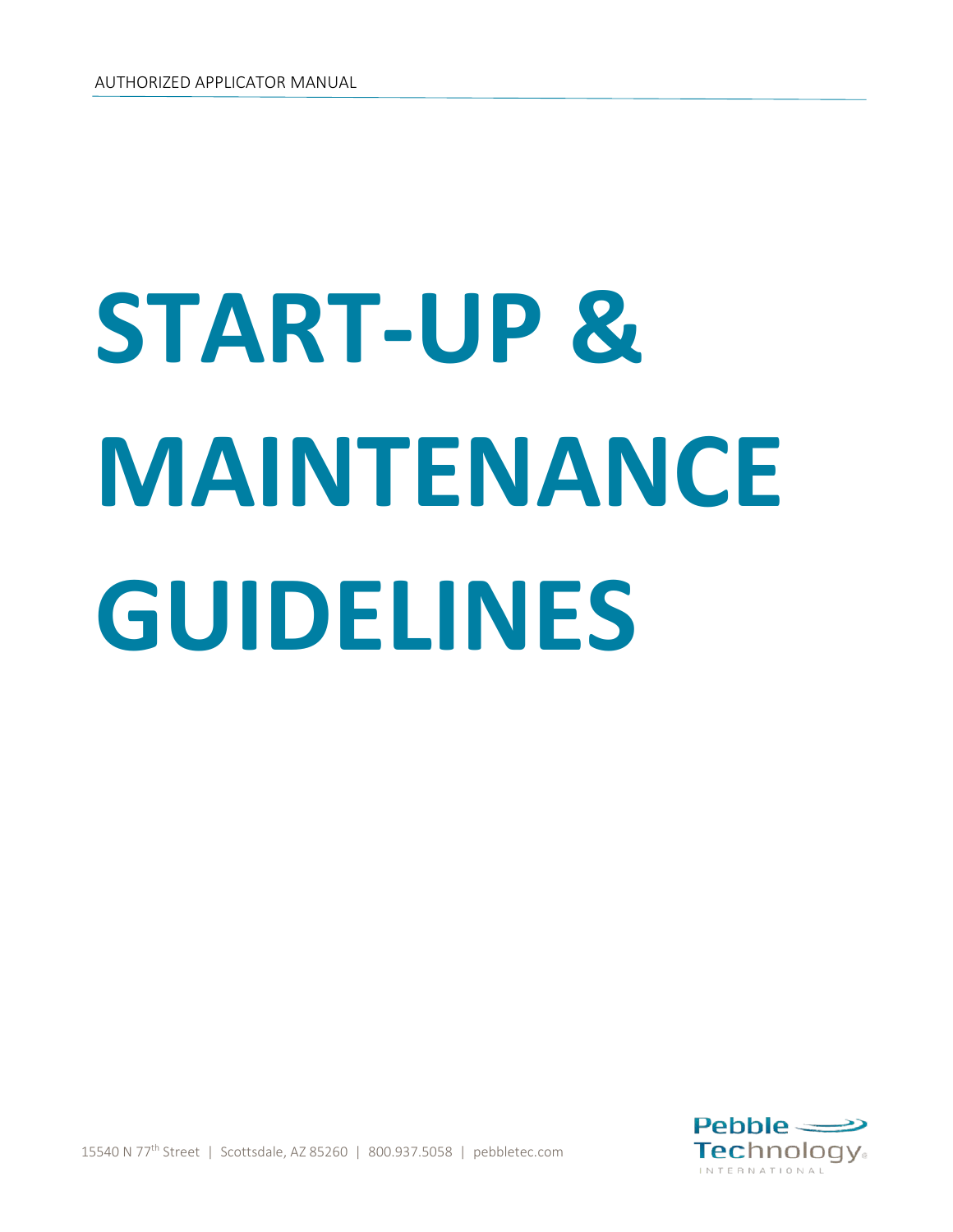# **START-UP & MAINTENANCE GUIDELINES**



15540 N 77th Street | Scottsdale, AZ 85260 | 800.937.5058 | pebbletec.com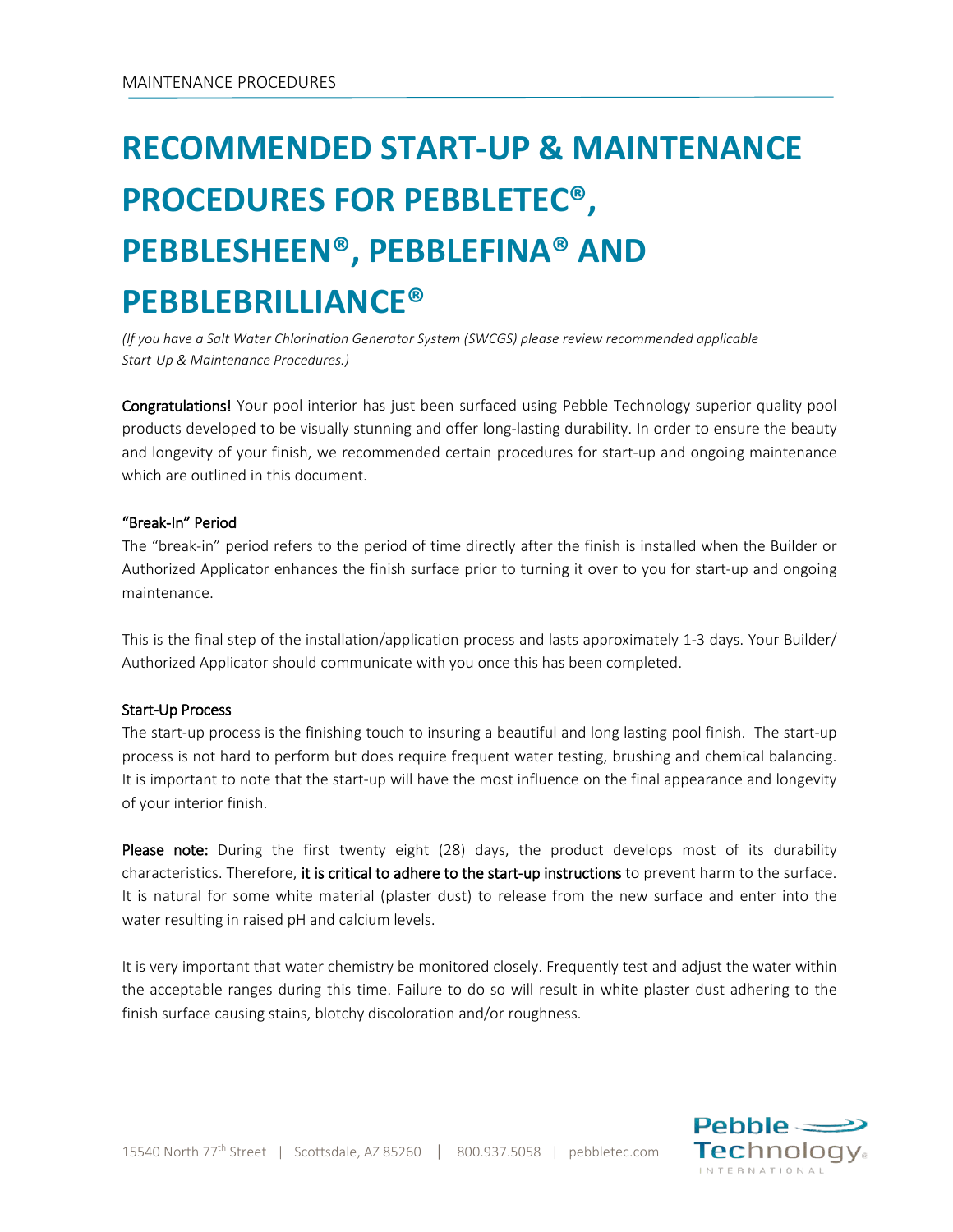## **RECOMMENDED START-UP & MAINTENANCE PROCEDURES FOR PEBBLETEC®, PEBBLESHEEN®, PEBBLEFINA® AND PEBBLEBRILLIANCE®**

*(If you have a Salt Water Chlorination Generator System (SWCGS) please review recommended applicable Start-Up & Maintenance Procedures.)*

Congratulations! Your pool interior has just been surfaced using Pebble Technology superior quality pool products developed to be visually stunning and offer long-lasting durability. In order to ensure the beauty and longevity of your finish, we recommended certain procedures for start-up and ongoing maintenance which are outlined in this document.

#### "Break-In" Period

The "break-in" period refers to the period of time directly after the finish is installed when the Builder or Authorized Applicator enhances the finish surface prior to turning it over to you for start-up and ongoing maintenance.

This is the final step of the installation/application process and lasts approximately 1-3 days. Your Builder/ Authorized Applicator should communicate with you once this has been completed.

#### Start-Up Process

The start-up process is the finishing touch to insuring a beautiful and long lasting pool finish. The start-up process is not hard to perform but does require frequent water testing, brushing and chemical balancing. It is important to note that the start-up will have the most influence on the final appearance and longevity of your interior finish.

Please note: During the first twenty eight (28) days, the product develops most of its durability characteristics. Therefore, it is critical to adhere to the start-up instructions to prevent harm to the surface. It is natural for some white material (plaster dust) to release from the new surface and enter into the water resulting in raised pH and calcium levels.

It is very important that water chemistry be monitored closely. Frequently test and adjust the water within the acceptable ranges during this time. Failure to do so will result in white plaster dust adhering to the finish surface causing stains, blotchy discoloration and/or roughness.

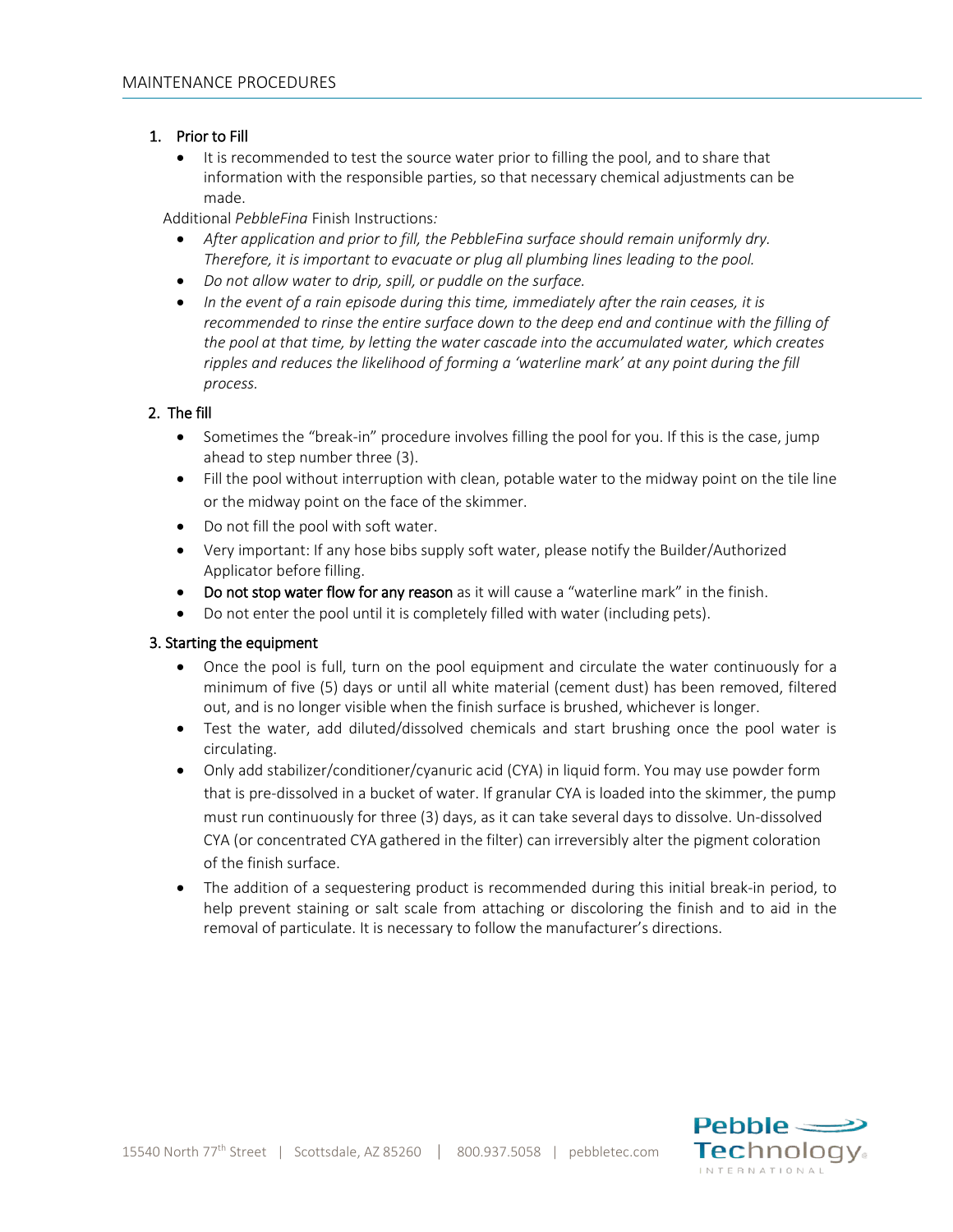### 1. Prior to Fill

• It is recommended to test the source water prior to filling the pool, and to share that information with the responsible parties, so that necessary chemical adjustments can be made.

Additional *PebbleFina* Finish Instructions*:*

- *After application and prior to fill, the PebbleFina surface should remain uniformly dry. Therefore, it is important to evacuate or plug all plumbing lines leading to the pool.*
- *Do not allow water to drip, spill, or puddle on the surface.*
- *In the event of a rain episode during this time, immediately after the rain ceases, it is recommended to rinse the entire surface down to the deep end and continue with the filling of the pool at that time, by letting the water cascade into the accumulated water, which creates ripples and reduces the likelihood of forming a 'waterline mark' at any point during the fill process.*

#### 2. The fill

- Sometimes the "break-in" procedure involves filling the pool for you. If this is the case, jump ahead to step number three (3).
- Fill the pool without interruption with clean, potable water to the midway point on the tile line or the midway point on the face of the skimmer.
- Do not fill the pool with soft water.
- Very important: If any hose bibs supply soft water, please notify the Builder/Authorized Applicator before filling.
- Do not stop water flow for any reason as it will cause a "waterline mark" in the finish.
- Do not enter the pool until it is completely filled with water (including pets).

#### 3. Starting the equipment

- Once the pool is full, turn on the pool equipment and circulate the water continuously for a minimum of five (5) days or until all white material (cement dust) has been removed, filtered out, and is no longer visible when the finish surface is brushed, whichever is longer.
- Test the water, add diluted/dissolved chemicals and start brushing once the pool water is circulating.
- Only add stabilizer/conditioner/cyanuric acid (CYA) in liquid form. You may use powder form that is pre-dissolved in a bucket of water. If granular CYA is loaded into the skimmer, the pump must run continuously for three (3) days, as it can take several days to dissolve. Un-dissolved CYA (or concentrated CYA gathered in the filter) can irreversibly alter the pigment coloration of the finish surface.
- The addition of a sequestering product is recommended during this initial break-in period, to help prevent staining or salt scale from attaching or discoloring the finish and to aid in the removal of particulate. It is necessary to follow the manufacturer's directions.

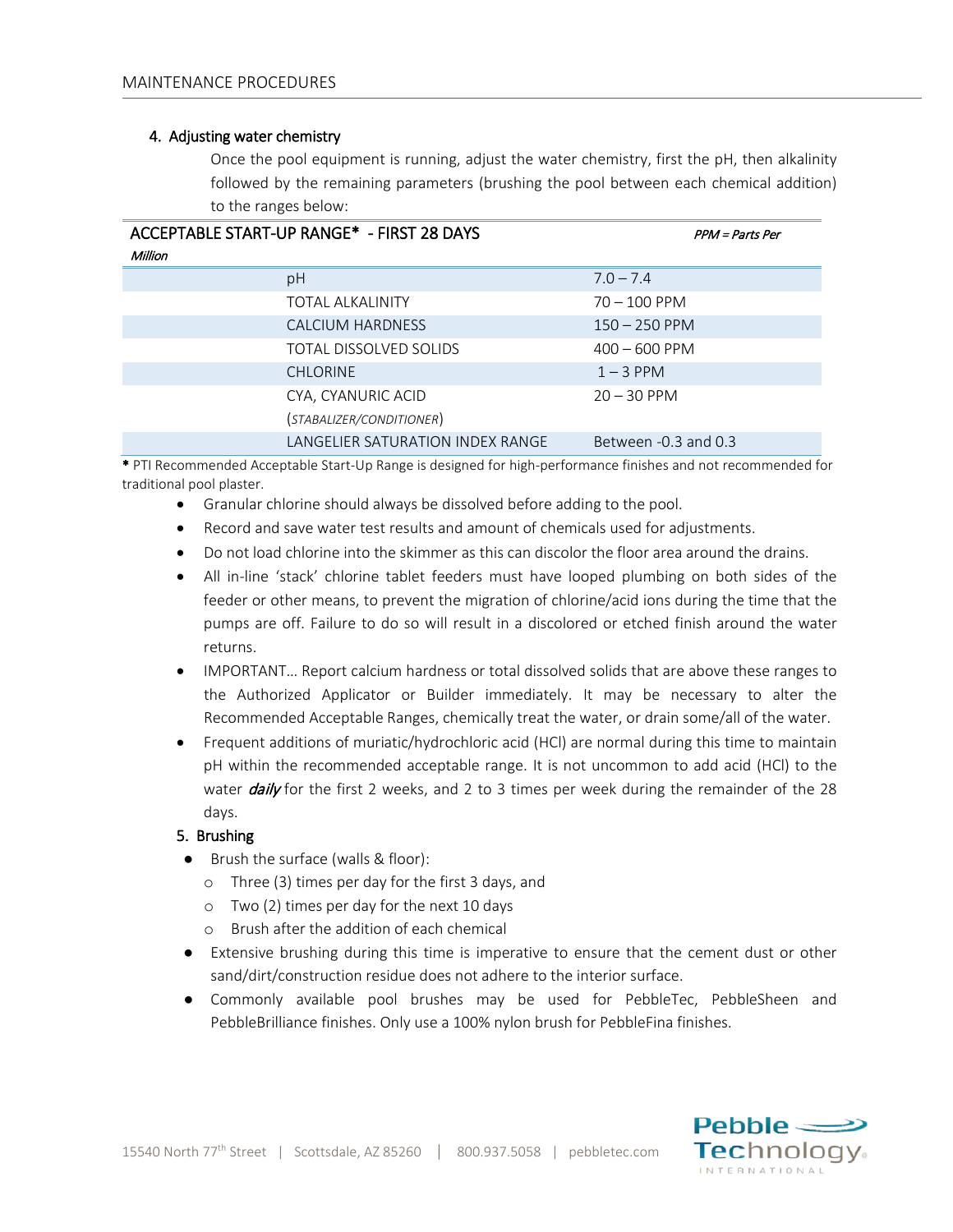#### 4. Adjusting water chemistry

Once the pool equipment is running, adjust the water chemistry, first the pH, then alkalinity followed by the remaining parameters (brushing the pool between each chemical addition) to the ranges below:

| ACCEPTABLE START-UP RANGE* - FIRST 28 DAYS<br>Million | PPM = Parts Per          |
|-------------------------------------------------------|--------------------------|
| pH                                                    | $7.0 - 7.4$              |
| <b>TOTAL ALKALINITY</b>                               | $70 - 100$ PPM           |
| CALCIUM HARDNESS                                      | $150 - 250$ PPM          |
| TOTAL DISSOLVED SOLIDS                                | $400 - 600$ PPM          |
| <b>CHLORINE</b>                                       | $1 - 3$ PPM              |
| CYA, CYANURIC ACID                                    | $20 - 30$ PPM            |
| (STABALIZER/CONDITIONER)                              |                          |
| LANGELIER SATURATION INDEX RANGE                      | Between $-0.3$ and $0.3$ |

\* PTI Recommended Acceptable Start-Up Range is designed for high-performance finishes and not recommended for traditional pool plaster.

- Granular chlorine should always be dissolved before adding to the pool.
- Record and save water test results and amount of chemicals used for adjustments.
- Do not load chlorine into the skimmer as this can discolor the floor area around the drains.
- All in-line 'stack' chlorine tablet feeders must have looped plumbing on both sides of the feeder or other means, to prevent the migration of chlorine/acid ions during the time that the pumps are off. Failure to do so will result in a discolored or etched finish around the water returns.
- IMPORTANT... Report calcium hardness or total dissolved solids that are above these ranges to the Authorized Applicator or Builder immediately. It may be necessary to alter the Recommended Acceptable Ranges, chemically treat the water, or drain some/all of the water.
- Frequent additions of muriatic/hydrochloric acid (HCl) are normal during this time to maintain pH within the recommended acceptable range. It is not uncommon to add acid (HCl) to the water  $\frac{d}{dy}$  for the first 2 weeks, and 2 to 3 times per week during the remainder of the 28 days.

### 5. Brushing

- Brush the surface (walls & floor):
	- o Three (3) times per day for the first 3 days, and
	- o Two (2) times per day for the next 10 days
	- o Brush after the addition of each chemical
- Extensive brushing during this time is imperative to ensure that the cement dust or other sand/dirt/construction residue does not adhere to the interior surface.
- Commonly available pool brushes may be used for PebbleTec, PebbleSheen and PebbleBrilliance finishes. Only use a 100% nylon brush for PebbleFina finishes.

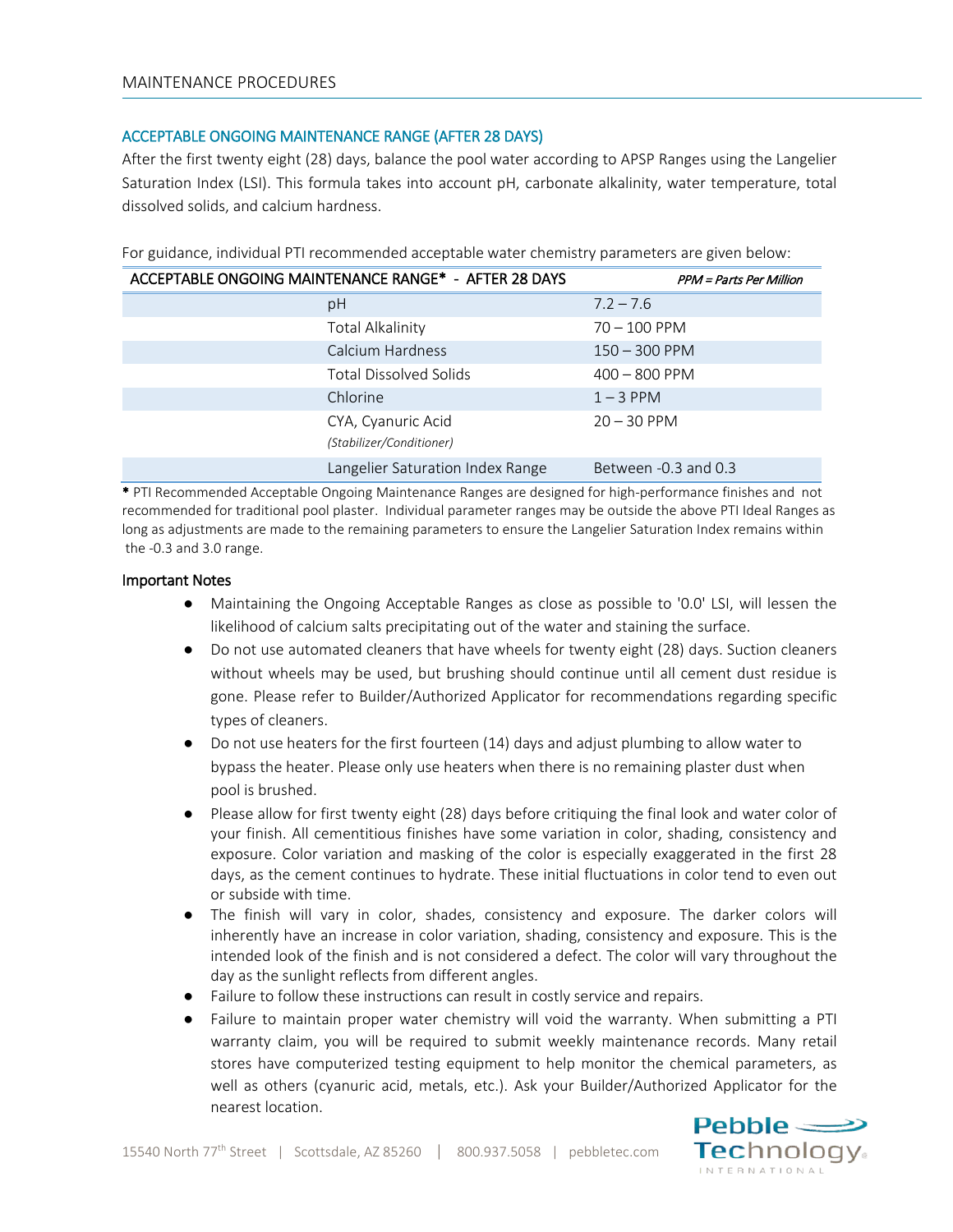### ACCEPTABLE ONGOING MAINTENANCE RANGE (AFTER 28 DAYS)

After the first twenty eight (28) days, balance the pool water according to APSP Ranges using the Langelier Saturation Index (LSI). This formula takes into account pH, carbonate alkalinity, water temperature, total dissolved solids, and calcium hardness.

| ACCEPTABLE ONGOING MAINTENANCE RANGE* - AFTER 28 DAYS | <b>PPM</b> = Parts Per Million |
|-------------------------------------------------------|--------------------------------|
| pH                                                    | $7.2 - 7.6$                    |
| <b>Total Alkalinity</b>                               | $70 - 100$ PPM                 |
| Calcium Hardness                                      | $150 - 300$ PPM                |
| <b>Total Dissolved Solids</b>                         | $400 - 800$ PPM                |
| Chlorine                                              | $1 - 3$ PPM                    |
| CYA, Cyanuric Acid<br>(Stabilizer/Conditioner)        | $20 - 30$ PPM                  |
| Langelier Saturation Index Range                      | Between -0.3 and 0.3           |

For guidance, individual PTI recommended acceptable water chemistry parameters are given below:

\* PTI Recommended Acceptable Ongoing Maintenance Ranges are designed for high-performance finishes and not recommended for traditional pool plaster. Individual parameter ranges may be outside the above PTI Ideal Ranges as long as adjustments are made to the remaining parameters to ensure the Langelier Saturation Index remains within the -0.3 and 3.0 range.

#### Important Notes

- Maintaining the Ongoing Acceptable Ranges as close as possible to '0.0' LSI, will lessen the likelihood of calcium salts precipitating out of the water and staining the surface.
- Do not use automated cleaners that have wheels for twenty eight (28) days. Suction cleaners without wheels may be used, but brushing should continue until all cement dust residue is gone. Please refer to Builder/Authorized Applicator for recommendations regarding specific types of cleaners.
- Do not use heaters for the first fourteen (14) days and adjust plumbing to allow water to bypass the heater. Please only use heaters when there is no remaining plaster dust when pool is brushed.
- Please allow for first twenty eight (28) days before critiquing the final look and water color of your finish. All cementitious finishes have some variation in color, shading, consistency and exposure. Color variation and masking of the color is especially exaggerated in the first 28 days, as the cement continues to hydrate. These initial fluctuations in color tend to even out or subside with time.
- The finish will vary in color, shades, consistency and exposure. The darker colors will inherently have an increase in color variation, shading, consistency and exposure. This is the intended look of the finish and is not considered a defect. The color will vary throughout the day as the sunlight reflects from different angles.
- Failure to follow these instructions can result in costly service and repairs.
- Failure to maintain proper water chemistry will void the warranty. When submitting a PTI warranty claim, you will be required to submit weekly maintenance records. Many retail stores have computerized testing equipment to help monitor the chemical parameters, as well as others (cyanuric acid, metals, etc.). Ask your Builder/Authorized Applicator for the nearest location.